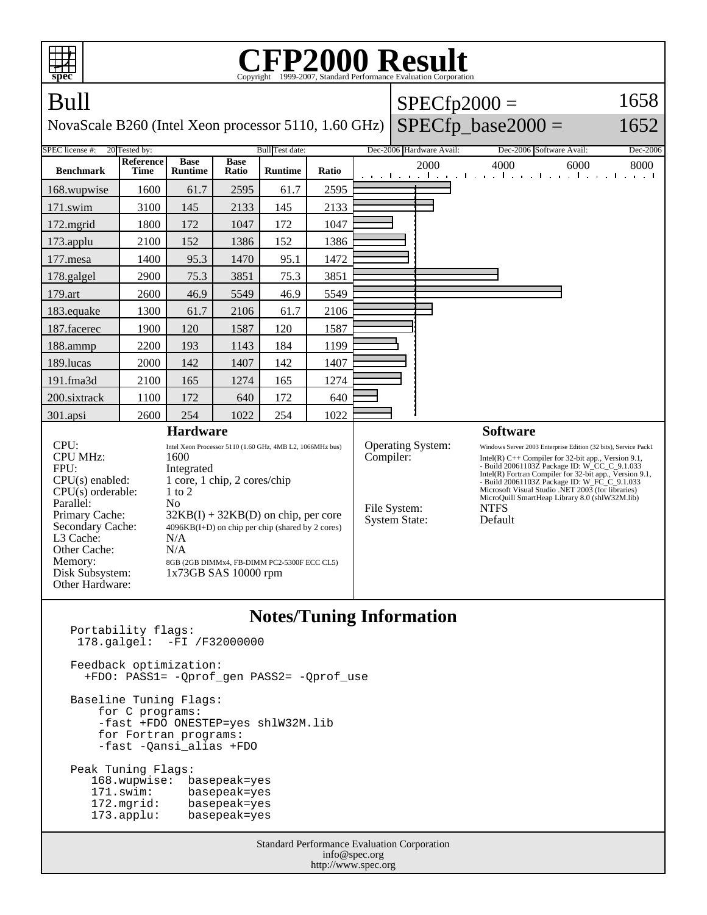| spec                                                                                                                                                                                                         | P2000 Result<br>Copyright ©1999-2007, Standard Performance Evaluation Corporation |                                                                                                                                                                                                                                                                                                                           |                      |                |       |  |                                                                               |                          |                                                                                                                                                                                                                                                                                                                                                                                                                      |              |  |
|--------------------------------------------------------------------------------------------------------------------------------------------------------------------------------------------------------------|-----------------------------------------------------------------------------------|---------------------------------------------------------------------------------------------------------------------------------------------------------------------------------------------------------------------------------------------------------------------------------------------------------------------------|----------------------|----------------|-------|--|-------------------------------------------------------------------------------|--------------------------|----------------------------------------------------------------------------------------------------------------------------------------------------------------------------------------------------------------------------------------------------------------------------------------------------------------------------------------------------------------------------------------------------------------------|--------------|--|
| Bull                                                                                                                                                                                                         |                                                                                   |                                                                                                                                                                                                                                                                                                                           |                      |                |       |  |                                                                               |                          | $SPECfp2000 =$                                                                                                                                                                                                                                                                                                                                                                                                       | 1658         |  |
| $SPECfp\_base2000 =$<br>1652<br>NovaScale B260 (Intel Xeon processor 5110, 1.60 GHz)                                                                                                                         |                                                                                   |                                                                                                                                                                                                                                                                                                                           |                      |                |       |  |                                                                               |                          |                                                                                                                                                                                                                                                                                                                                                                                                                      |              |  |
| <b>SPEC</b> license #:<br>20 Tested by:<br>Bull Test date:                                                                                                                                                   |                                                                                   |                                                                                                                                                                                                                                                                                                                           |                      |                |       |  |                                                                               | Dec-2006 Hardware Avail: | Dec-2006 Software Avail:                                                                                                                                                                                                                                                                                                                                                                                             | Dec-2006     |  |
| <b>Benchmark</b>                                                                                                                                                                                             | Reference<br><b>Time</b>                                                          | <b>Base</b><br><b>Runtime</b>                                                                                                                                                                                                                                                                                             | <b>Base</b><br>Ratio | <b>Runtime</b> | Ratio |  |                                                                               | 2000                     | 4000<br>التعبيل وبالتعب المتحارب والتعبيل والتعبيل والتعبير                                                                                                                                                                                                                                                                                                                                                          | 6000<br>8000 |  |
| 168.wupwise                                                                                                                                                                                                  | 1600                                                                              | 61.7                                                                                                                                                                                                                                                                                                                      | 2595                 | 61.7           | 2595  |  |                                                                               |                          |                                                                                                                                                                                                                                                                                                                                                                                                                      |              |  |
| 171.swim                                                                                                                                                                                                     | 3100                                                                              | 145                                                                                                                                                                                                                                                                                                                       | 2133                 | 145            | 2133  |  |                                                                               |                          |                                                                                                                                                                                                                                                                                                                                                                                                                      |              |  |
| $172$ .mgrid                                                                                                                                                                                                 | 1800                                                                              | 172                                                                                                                                                                                                                                                                                                                       | 1047                 | 172            | 1047  |  |                                                                               |                          |                                                                                                                                                                                                                                                                                                                                                                                                                      |              |  |
| 173.applu                                                                                                                                                                                                    | 2100                                                                              | 152                                                                                                                                                                                                                                                                                                                       | 1386                 | 152            | 1386  |  |                                                                               |                          |                                                                                                                                                                                                                                                                                                                                                                                                                      |              |  |
| 177.mesa                                                                                                                                                                                                     | 1400                                                                              | 95.3                                                                                                                                                                                                                                                                                                                      | 1470                 | 95.1           | 1472  |  |                                                                               |                          |                                                                                                                                                                                                                                                                                                                                                                                                                      |              |  |
| 178.galgel                                                                                                                                                                                                   | 2900                                                                              | 75.3                                                                                                                                                                                                                                                                                                                      | 3851                 | 75.3           | 3851  |  |                                                                               |                          |                                                                                                                                                                                                                                                                                                                                                                                                                      |              |  |
| 179.art                                                                                                                                                                                                      | 2600                                                                              | 46.9                                                                                                                                                                                                                                                                                                                      | 5549                 | 46.9           | 5549  |  |                                                                               |                          |                                                                                                                                                                                                                                                                                                                                                                                                                      |              |  |
| 183.equake                                                                                                                                                                                                   | 1300                                                                              | 61.7                                                                                                                                                                                                                                                                                                                      | 2106                 | 61.7           | 2106  |  |                                                                               |                          |                                                                                                                                                                                                                                                                                                                                                                                                                      |              |  |
| 187.facerec                                                                                                                                                                                                  | 1900                                                                              | 120                                                                                                                                                                                                                                                                                                                       | 1587                 | 120            | 1587  |  |                                                                               |                          |                                                                                                                                                                                                                                                                                                                                                                                                                      |              |  |
| 188.ammp                                                                                                                                                                                                     | 2200                                                                              | 193                                                                                                                                                                                                                                                                                                                       | 1143                 | 184            | 1199  |  |                                                                               |                          |                                                                                                                                                                                                                                                                                                                                                                                                                      |              |  |
| 189.lucas                                                                                                                                                                                                    | 2000                                                                              | 142                                                                                                                                                                                                                                                                                                                       | 1407                 | 142            | 1407  |  |                                                                               |                          |                                                                                                                                                                                                                                                                                                                                                                                                                      |              |  |
| 191.fma3d                                                                                                                                                                                                    | 2100                                                                              | 165                                                                                                                                                                                                                                                                                                                       | 1274                 | 165            | 1274  |  |                                                                               |                          |                                                                                                                                                                                                                                                                                                                                                                                                                      |              |  |
| 200.sixtrack                                                                                                                                                                                                 | 1100                                                                              | 172                                                                                                                                                                                                                                                                                                                       | 640                  | 172            | 640   |  |                                                                               |                          |                                                                                                                                                                                                                                                                                                                                                                                                                      |              |  |
| 301.apsi                                                                                                                                                                                                     | 2600                                                                              | 254                                                                                                                                                                                                                                                                                                                       | 1022                 | 254            | 1022  |  |                                                                               |                          |                                                                                                                                                                                                                                                                                                                                                                                                                      |              |  |
| <b>Hardware</b>                                                                                                                                                                                              |                                                                                   |                                                                                                                                                                                                                                                                                                                           |                      |                |       |  |                                                                               |                          | <b>Software</b>                                                                                                                                                                                                                                                                                                                                                                                                      |              |  |
| CPU:<br><b>CPU MHz:</b><br>FPU:<br>$CPU(s)$ enabled:<br>$CPU(s)$ orderable:<br>Parallel:<br>Primary Cache:<br>Secondary Cache:<br>L3 Cache:<br>Other Cache:<br>Memory:<br>Disk Subsystem:<br>Other Hardware: |                                                                                   | Intel Xeon Processor 5110 (1.60 GHz, 4MB L2, 1066MHz bus)<br>1600<br>Integrated<br>1 core, 1 chip, 2 cores/chip<br>$1$ to $2$<br>No<br>$32KB(I) + 32KB(D)$ on chip, per core<br>4096KB(I+D) on chip per chip (shared by 2 cores)<br>N/A<br>N/A<br>8GB (2GB DIMMx4, FB-DIMM PC2-5300F ECC CL5)<br>$1x73GB$ SAS $10000$ rpm |                      |                |       |  | <b>Operating System:</b><br>Compiler:<br>File System:<br><b>System State:</b> |                          | Windows Server 2003 Enterprise Edition (32 bits), Service Pack1<br>Intel(R) $C++$ Compiler for 32-bit app., Version 9.1,<br>- Build 20061103Z Package ID: W_CC_C_9.1.033<br>Intel(R) Fortran Compiler for 32-bit app., Version 9.1,<br>- Build 20061103Z Package ID: W_FC_C_9.1.033<br>Microsoft Visual Studio .NET 2003 (for libraries)<br>MicroQuill SmartHeap Library 8.0 (shlW32M.lib)<br><b>NTFS</b><br>Default |              |  |
| <b>Notes/Tuning Information</b><br>Portability flags:<br>$178.$ $qalqel:$ $-FI$ $/F32000000$                                                                                                                 |                                                                                   |                                                                                                                                                                                                                                                                                                                           |                      |                |       |  |                                                                               |                          |                                                                                                                                                                                                                                                                                                                                                                                                                      |              |  |

 178.galgel: -FI /F32000000 Feedback optimization: +FDO: PASS1= -Qprof\_gen PASS2= -Qprof\_use Baseline Tuning Flags: for C programs: -fast +FDO ONESTEP=yes shlW32M.lib for Fortran programs: -fast -Qansi\_alias +FDO Peak Tuning Flags: 168.wupwise: basepeak=yes<br>171.swim: basepeak=yes 171.swim: basepeak=yes<br>172.mgrid: basepeak=yes 172.mgrid: basepeak=yes<br>173.applu: basepeak=yes basepeak=yes

Standard Performance Evaluation Corporation info@spec.org http://www.spec.org